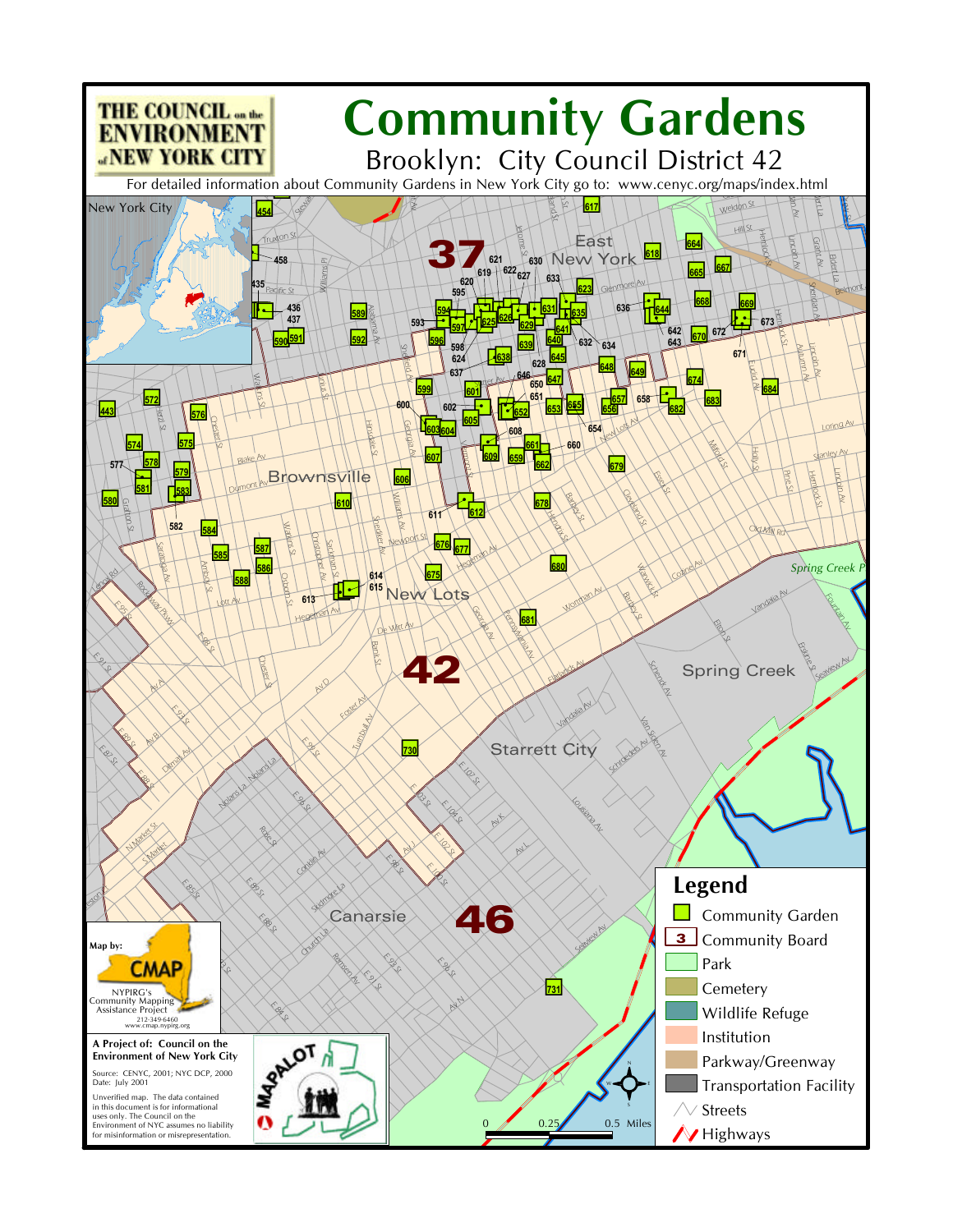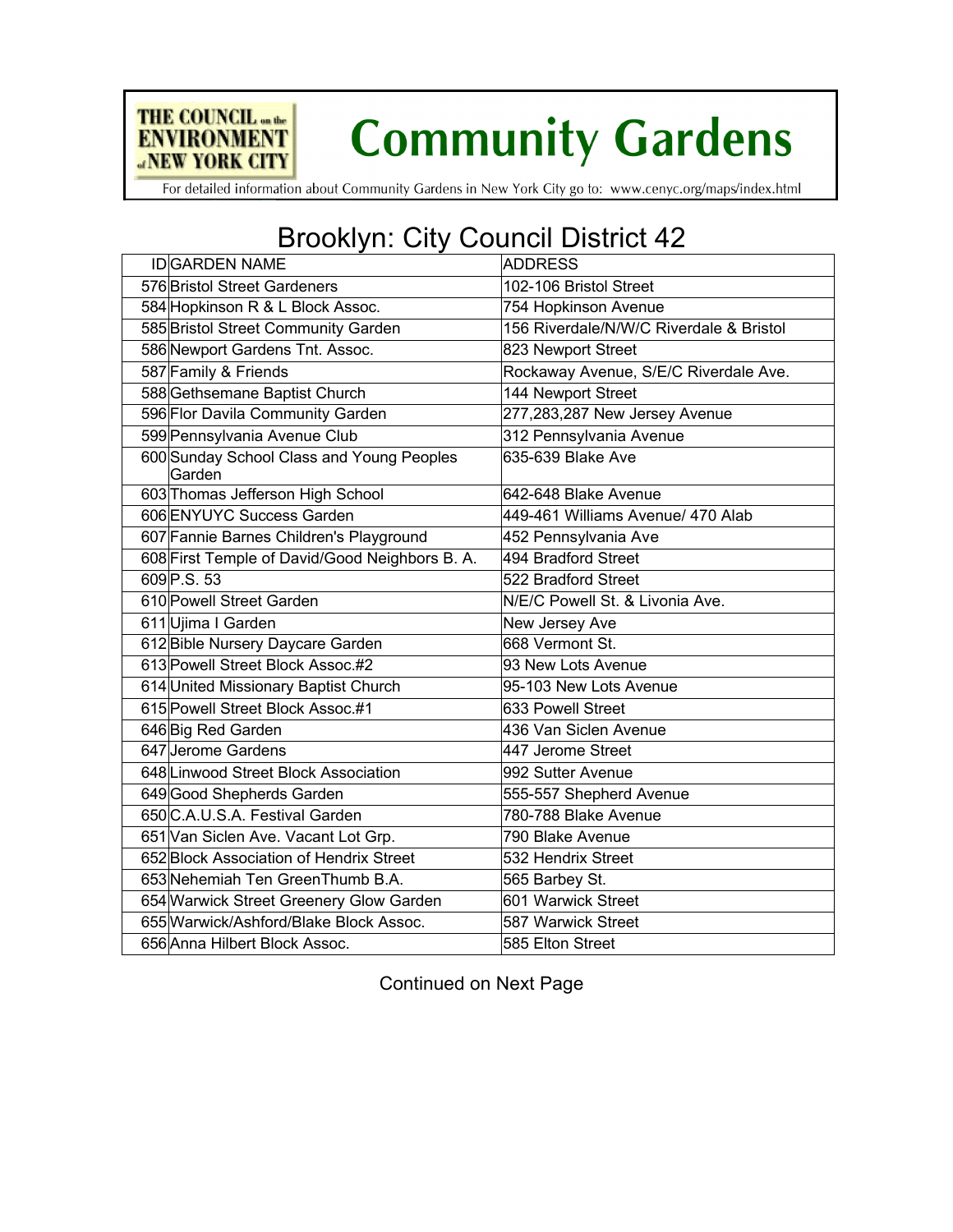

For detailed information about Community Gardens in New York City go to: www.cenyc.org/maps/index.html

THE COUNCIL on the

**ENVIRONMENT ANEW YORK CITY** 

## Brooklyn: City Council District 42

| <b>ADDRESS</b>                          |
|-----------------------------------------|
| 102-106 Bristol Street                  |
| 754 Hopkinson Avenue                    |
| 156 Riverdale/N/W/C Riverdale & Bristol |
| 823 Newport Street                      |
| Rockaway Avenue, S/E/C Riverdale Ave.   |
| 144 Newport Street                      |
| 277,283,287 New Jersey Avenue           |
| 312 Pennsylvania Avenue                 |
| 635-639 Blake Ave                       |
| 642-648 Blake Avenue                    |
| 449-461 Williams Avenue/ 470 Alab       |
| 452 Pennsylvania Ave                    |
| 494 Bradford Street                     |
| 522 Bradford Street                     |
| N/E/C Powell St. & Livonia Ave.         |
| New Jersey Ave                          |
| 668 Vermont St.                         |
| 93 New Lots Avenue                      |
| 95-103 New Lots Avenue                  |
| 633 Powell Street                       |
| 436 Van Siclen Avenue                   |
| 447 Jerome Street                       |
| 992 Sutter Avenue                       |
| 555-557 Shepherd Avenue                 |
| 780-788 Blake Avenue                    |
| 790 Blake Avenue                        |
| 532 Hendrix Street                      |
| 565 Barbey St.                          |
| 601 Warwick Street                      |
| 587 Warwick Street                      |
| 585 Elton Street                        |
|                                         |

Continued on Next Page